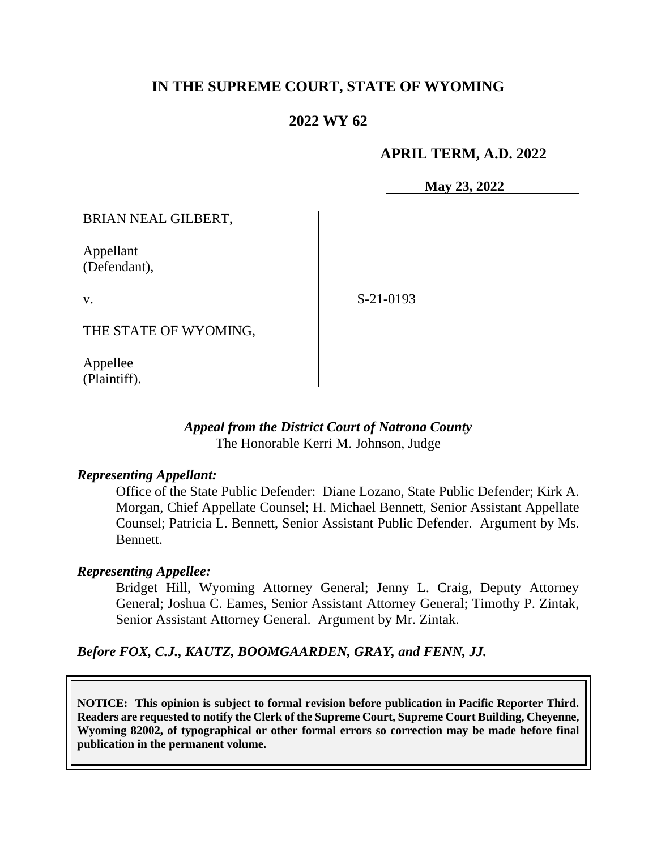## **IN THE SUPREME COURT, STATE OF WYOMING**

## **2022 WY 62**

### **APRIL TERM, A.D. 2022**

**May 23, 2022**

BRIAN NEAL GILBERT,

Appellant (Defendant),

v.

S-21-0193

THE STATE OF WYOMING,

Appellee (Plaintiff).

### *Appeal from the District Court of Natrona County* The Honorable Kerri M. Johnson, Judge

### *Representing Appellant:*

Office of the State Public Defender: Diane Lozano, State Public Defender; Kirk A. Morgan, Chief Appellate Counsel; H. Michael Bennett, Senior Assistant Appellate Counsel; Patricia L. Bennett, Senior Assistant Public Defender. Argument by Ms. Bennett.

### *Representing Appellee:*

Bridget Hill, Wyoming Attorney General; Jenny L. Craig, Deputy Attorney General; Joshua C. Eames, Senior Assistant Attorney General; Timothy P. Zintak, Senior Assistant Attorney General. Argument by Mr. Zintak.

*Before FOX, C.J., KAUTZ, BOOMGAARDEN, GRAY, and FENN, JJ.*

**NOTICE: This opinion is subject to formal revision before publication in Pacific Reporter Third. Readers are requested to notify the Clerk of the Supreme Court, Supreme Court Building, Cheyenne, Wyoming 82002, of typographical or other formal errors so correction may be made before final publication in the permanent volume.**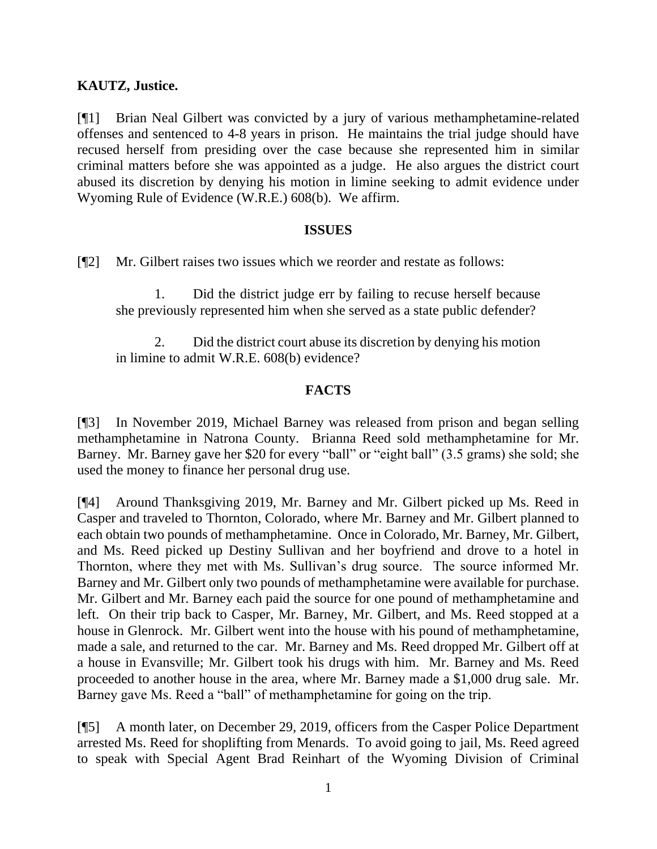### **KAUTZ, Justice.**

[¶1] Brian Neal Gilbert was convicted by a jury of various methamphetamine-related offenses and sentenced to 4-8 years in prison. He maintains the trial judge should have recused herself from presiding over the case because she represented him in similar criminal matters before she was appointed as a judge. He also argues the district court abused its discretion by denying his motion in limine seeking to admit evidence under Wyoming Rule of Evidence (W.R.E.) 608(b). We affirm.

#### **ISSUES**

[¶2] Mr. Gilbert raises two issues which we reorder and restate as follows:

1. Did the district judge err by failing to recuse herself because she previously represented him when she served as a state public defender?

2. Did the district court abuse its discretion by denying his motion in limine to admit W.R.E. 608(b) evidence?

### **FACTS**

[¶3] In November 2019, Michael Barney was released from prison and began selling methamphetamine in Natrona County. Brianna Reed sold methamphetamine for Mr. Barney. Mr. Barney gave her \$20 for every "ball" or "eight ball" (3.5 grams) she sold; she used the money to finance her personal drug use.

[¶4] Around Thanksgiving 2019, Mr. Barney and Mr. Gilbert picked up Ms. Reed in Casper and traveled to Thornton, Colorado, where Mr. Barney and Mr. Gilbert planned to each obtain two pounds of methamphetamine. Once in Colorado, Mr. Barney, Mr. Gilbert, and Ms. Reed picked up Destiny Sullivan and her boyfriend and drove to a hotel in Thornton, where they met with Ms. Sullivan's drug source. The source informed Mr. Barney and Mr. Gilbert only two pounds of methamphetamine were available for purchase. Mr. Gilbert and Mr. Barney each paid the source for one pound of methamphetamine and left. On their trip back to Casper, Mr. Barney, Mr. Gilbert, and Ms. Reed stopped at a house in Glenrock. Mr. Gilbert went into the house with his pound of methamphetamine, made a sale, and returned to the car. Mr. Barney and Ms. Reed dropped Mr. Gilbert off at a house in Evansville; Mr. Gilbert took his drugs with him. Mr. Barney and Ms. Reed proceeded to another house in the area, where Mr. Barney made a \$1,000 drug sale. Mr. Barney gave Ms. Reed a "ball" of methamphetamine for going on the trip.

[¶5] A month later, on December 29, 2019, officers from the Casper Police Department arrested Ms. Reed for shoplifting from Menards. To avoid going to jail, Ms. Reed agreed to speak with Special Agent Brad Reinhart of the Wyoming Division of Criminal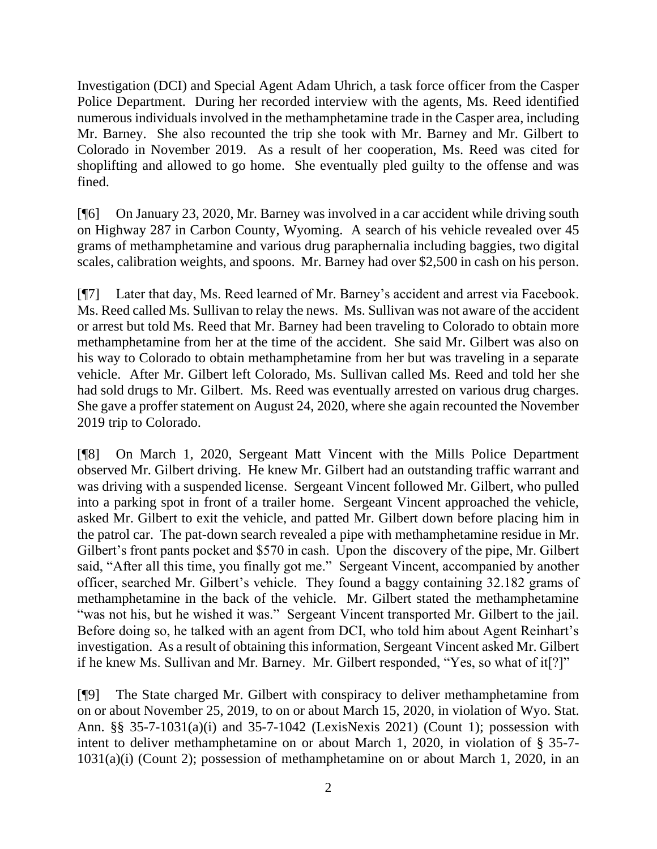Investigation (DCI) and Special Agent Adam Uhrich, a task force officer from the Casper Police Department. During her recorded interview with the agents, Ms. Reed identified numerous individuals involved in the methamphetamine trade in the Casper area, including Mr. Barney. She also recounted the trip she took with Mr. Barney and Mr. Gilbert to Colorado in November 2019. As a result of her cooperation, Ms. Reed was cited for shoplifting and allowed to go home. She eventually pled guilty to the offense and was fined.

[¶6] On January 23, 2020, Mr. Barney was involved in a car accident while driving south on Highway 287 in Carbon County, Wyoming. A search of his vehicle revealed over 45 grams of methamphetamine and various drug paraphernalia including baggies, two digital scales, calibration weights, and spoons. Mr. Barney had over \$2,500 in cash on his person.

[¶7] Later that day, Ms. Reed learned of Mr. Barney's accident and arrest via Facebook. Ms. Reed called Ms. Sullivan to relay the news. Ms. Sullivan was not aware of the accident or arrest but told Ms. Reed that Mr. Barney had been traveling to Colorado to obtain more methamphetamine from her at the time of the accident. She said Mr. Gilbert was also on his way to Colorado to obtain methamphetamine from her but was traveling in a separate vehicle. After Mr. Gilbert left Colorado, Ms. Sullivan called Ms. Reed and told her she had sold drugs to Mr. Gilbert. Ms. Reed was eventually arrested on various drug charges. She gave a proffer statement on August 24, 2020, where she again recounted the November 2019 trip to Colorado.

[¶8] On March 1, 2020, Sergeant Matt Vincent with the Mills Police Department observed Mr. Gilbert driving. He knew Mr. Gilbert had an outstanding traffic warrant and was driving with a suspended license. Sergeant Vincent followed Mr. Gilbert, who pulled into a parking spot in front of a trailer home. Sergeant Vincent approached the vehicle, asked Mr. Gilbert to exit the vehicle, and patted Mr. Gilbert down before placing him in the patrol car. The pat-down search revealed a pipe with methamphetamine residue in Mr. Gilbert's front pants pocket and \$570 in cash. Upon the discovery of the pipe, Mr. Gilbert said, "After all this time, you finally got me." Sergeant Vincent, accompanied by another officer, searched Mr. Gilbert's vehicle. They found a baggy containing 32.182 grams of methamphetamine in the back of the vehicle. Mr. Gilbert stated the methamphetamine "was not his, but he wished it was." Sergeant Vincent transported Mr. Gilbert to the jail. Before doing so, he talked with an agent from DCI, who told him about Agent Reinhart's investigation. As a result of obtaining this information, Sergeant Vincent asked Mr. Gilbert if he knew Ms. Sullivan and Mr. Barney. Mr. Gilbert responded, "Yes, so what of it[?]"

[¶9] The State charged Mr. Gilbert with conspiracy to deliver methamphetamine from on or about November 25, 2019, to on or about March 15, 2020, in violation of Wyo. Stat. Ann. §§ 35-7-1031(a)(i) and 35-7-1042 (LexisNexis 2021) (Count 1); possession with intent to deliver methamphetamine on or about March 1, 2020, in violation of § 35-7- 1031(a)(i) (Count 2); possession of methamphetamine on or about March 1, 2020, in an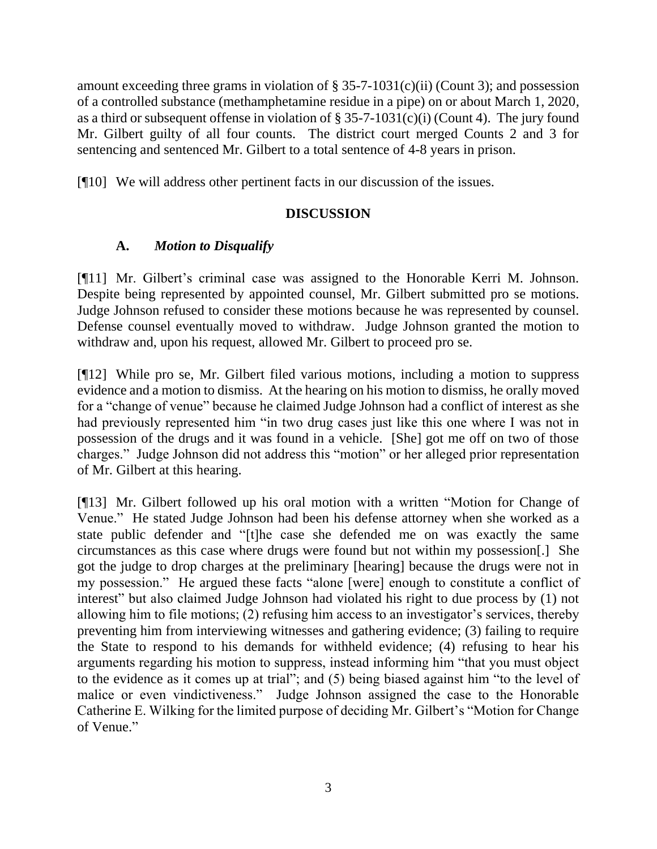amount exceeding three grams in violation of  $\S 35$ -7-1031(c)(ii) (Count 3); and possession of a controlled substance (methamphetamine residue in a pipe) on or about March 1, 2020, as a third or subsequent offense in violation of  $\S 35-7-1031(c)(i)$  (Count 4). The jury found Mr. Gilbert guilty of all four counts. The district court merged Counts 2 and 3 for sentencing and sentenced Mr. Gilbert to a total sentence of 4-8 years in prison.

[¶10] We will address other pertinent facts in our discussion of the issues.

# **DISCUSSION**

# **A.** *Motion to Disqualify*

[¶11] Mr. Gilbert's criminal case was assigned to the Honorable Kerri M. Johnson. Despite being represented by appointed counsel, Mr. Gilbert submitted pro se motions. Judge Johnson refused to consider these motions because he was represented by counsel. Defense counsel eventually moved to withdraw. Judge Johnson granted the motion to withdraw and, upon his request, allowed Mr. Gilbert to proceed pro se.

[¶12] While pro se, Mr. Gilbert filed various motions, including a motion to suppress evidence and a motion to dismiss. At the hearing on his motion to dismiss, he orally moved for a "change of venue" because he claimed Judge Johnson had a conflict of interest as she had previously represented him "in two drug cases just like this one where I was not in possession of the drugs and it was found in a vehicle. [She] got me off on two of those charges." Judge Johnson did not address this "motion" or her alleged prior representation of Mr. Gilbert at this hearing.

[¶13] Mr. Gilbert followed up his oral motion with a written "Motion for Change of Venue." He stated Judge Johnson had been his defense attorney when she worked as a state public defender and "[t]he case she defended me on was exactly the same circumstances as this case where drugs were found but not within my possession[.] She got the judge to drop charges at the preliminary [hearing] because the drugs were not in my possession." He argued these facts "alone [were] enough to constitute a conflict of interest" but also claimed Judge Johnson had violated his right to due process by (1) not allowing him to file motions; (2) refusing him access to an investigator's services, thereby preventing him from interviewing witnesses and gathering evidence; (3) failing to require the State to respond to his demands for withheld evidence; (4) refusing to hear his arguments regarding his motion to suppress, instead informing him "that you must object to the evidence as it comes up at trial"; and (5) being biased against him "to the level of malice or even vindictiveness." Judge Johnson assigned the case to the Honorable Catherine E. Wilking for the limited purpose of deciding Mr. Gilbert's "Motion for Change of Venue."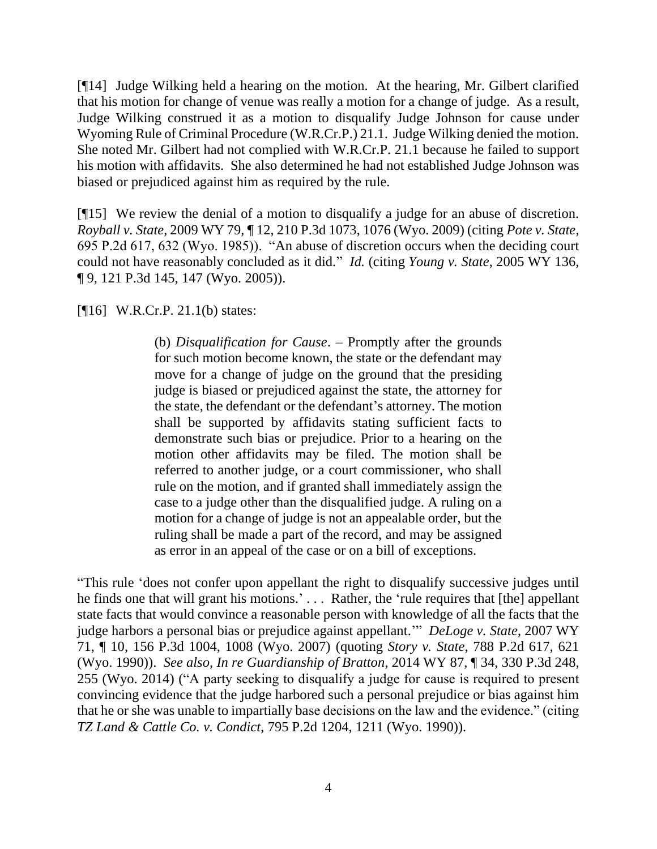[¶14] Judge Wilking held a hearing on the motion. At the hearing, Mr. Gilbert clarified that his motion for change of venue was really a motion for a change of judge. As a result, Judge Wilking construed it as a motion to disqualify Judge Johnson for cause under Wyoming Rule of Criminal Procedure (W.R.Cr.P.) 21.1. Judge Wilking denied the motion. She noted Mr. Gilbert had not complied with W.R.Cr.P. 21.1 because he failed to support his motion with affidavits. She also determined he had not established Judge Johnson was biased or prejudiced against him as required by the rule.

[¶15] We review the denial of a motion to disqualify a judge for an abuse of discretion. *Royball v. State*, 2009 WY 79, ¶ 12, 210 P.3d 1073, 1076 (Wyo. 2009) (citing *Pote v. State*, 695 P.2d 617, 632 (Wyo. 1985)). "An abuse of discretion occurs when the deciding court could not have reasonably concluded as it did." *Id.* (citing *Young v. State*, 2005 WY 136, ¶ 9, 121 P.3d 145, 147 (Wyo. 2005)).

[¶16] W.R.Cr.P. 21.1(b) states:

(b) *Disqualification for Cause*. – Promptly after the grounds for such motion become known, the state or the defendant may move for a change of judge on the ground that the presiding judge is biased or prejudiced against the state, the attorney for the state, the defendant or the defendant's attorney. The motion shall be supported by affidavits stating sufficient facts to demonstrate such bias or prejudice. Prior to a hearing on the motion other affidavits may be filed. The motion shall be referred to another judge, or a court commissioner, who shall rule on the motion, and if granted shall immediately assign the case to a judge other than the disqualified judge. A ruling on a motion for a change of judge is not an appealable order, but the ruling shall be made a part of the record, and may be assigned as error in an appeal of the case or on a bill of exceptions.

"This rule 'does not confer upon appellant the right to disqualify successive judges until he finds one that will grant his motions.' . . . Rather, the 'rule requires that [the] appellant state facts that would convince a reasonable person with knowledge of all the facts that the judge harbors a personal bias or prejudice against appellant.'" *DeLoge v. State*, 2007 WY 71, ¶ 10, 156 P.3d 1004, 1008 (Wyo. 2007) (quoting *Story v. State*, 788 P.2d 617, 621 (Wyo. 1990)). *See also, In re Guardianship of Bratton*, 2014 WY 87, ¶ 34, 330 P.3d 248, 255 (Wyo. 2014) ("A party seeking to disqualify a judge for cause is required to present convincing evidence that the judge harbored such a personal prejudice or bias against him that he or she was unable to impartially base decisions on the law and the evidence." (citing *TZ Land & Cattle Co. v. Condict*, 795 P.2d 1204, 1211 (Wyo. 1990)).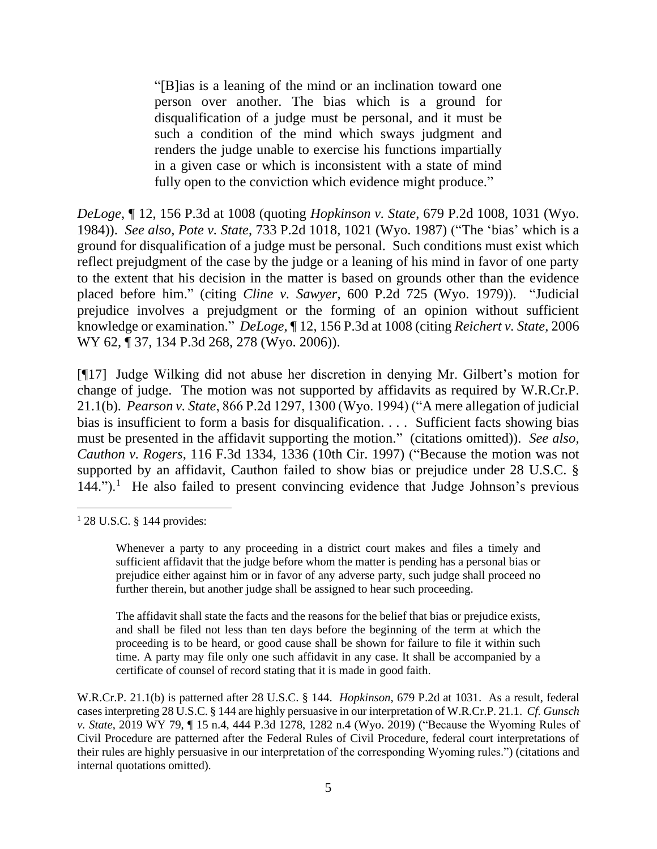"[B]ias is a leaning of the mind or an inclination toward one person over another. The bias which is a ground for disqualification of a judge must be personal, and it must be such a condition of the mind which sways judgment and renders the judge unable to exercise his functions impartially in a given case or which is inconsistent with a state of mind fully open to the conviction which evidence might produce."

*DeLoge*, ¶ 12, 156 P.3d at 1008 (quoting *Hopkinson v. State*, 679 P.2d 1008, 1031 (Wyo. 1984)). *See also, Pote v. State*, 733 P.2d 1018, 1021 (Wyo. 1987) ("The 'bias' which is a ground for disqualification of a judge must be personal. Such conditions must exist which reflect prejudgment of the case by the judge or a leaning of his mind in favor of one party to the extent that his decision in the matter is based on grounds other than the evidence placed before him." (citing *Cline v. Sawyer*, 600 P.2d 725 (Wyo. 1979)). "Judicial prejudice involves a prejudgment or the forming of an opinion without sufficient knowledge or examination." *DeLoge*, ¶ 12, 156 P.3d at 1008 (citing *Reichert v. State*, 2006 WY 62, ¶ 37, 134 P.3d 268, 278 (Wyo. 2006)).

[¶17] Judge Wilking did not abuse her discretion in denying Mr. Gilbert's motion for change of judge. The motion was not supported by affidavits as required by W.R.Cr.P. 21.1(b). *Pearson v. State*, 866 P.2d 1297, 1300 (Wyo. 1994) ("A mere allegation of judicial bias is insufficient to form a basis for disqualification. . . . Sufficient facts showing bias must be presented in the affidavit supporting the motion." (citations omitted)). *See also, Cauthon v. Rogers*, 116 F.3d 1334, 1336 (10th Cir. 1997) ("Because the motion was not supported by an affidavit, Cauthon failed to show bias or prejudice under 28 U.S.C. § 144.").<sup>1</sup> He also failed to present convincing evidence that Judge Johnson's previous

The affidavit shall state the facts and the reasons for the belief that bias or prejudice exists, and shall be filed not less than ten days before the beginning of the term at which the proceeding is to be heard, or good cause shall be shown for failure to file it within such time. A party may file only one such affidavit in any case. It shall be accompanied by a certificate of counsel of record stating that it is made in good faith.

W.R.Cr.P. 21.1(b) is patterned after 28 U.S.C. § 144. *Hopkinson*, 679 P.2d at 1031. As a result, federal cases interpreting 28 U.S.C. § 144 are highly persuasive in our interpretation of W.R.Cr.P. 21.1. *Cf. Gunsch v. State*, 2019 WY 79, ¶ 15 n.4, 444 P.3d 1278, 1282 n.4 (Wyo. 2019) ("Because the Wyoming Rules of Civil Procedure are patterned after the Federal Rules of Civil Procedure, federal court interpretations of their rules are highly persuasive in our interpretation of the corresponding Wyoming rules.") (citations and internal quotations omitted).

<sup>1</sup> 28 U.S.C. § 144 provides:

Whenever a party to any proceeding in a district court makes and files a timely and sufficient affidavit that the judge before whom the matter is pending has a personal bias or prejudice either against him or in favor of any adverse party, such judge shall proceed no further therein, but another judge shall be assigned to hear such proceeding.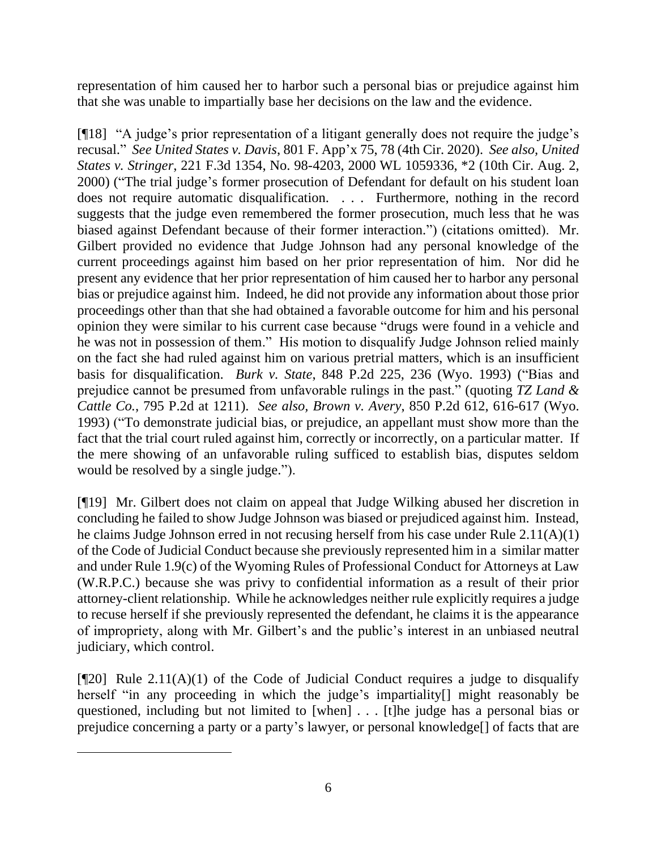representation of him caused her to harbor such a personal bias or prejudice against him that she was unable to impartially base her decisions on the law and the evidence.

[¶18] "A judge's prior representation of a litigant generally does not require the judge's recusal." *See United States v. Davis*, 801 F. App'x 75, 78 (4th Cir. 2020). *See also, United States v. Stringer*, 221 F.3d 1354, No. 98-4203, 2000 WL 1059336, \*2 (10th Cir. Aug. 2, 2000) ("The trial judge's former prosecution of Defendant for default on his student loan does not require automatic disqualification. . . . Furthermore, nothing in the record suggests that the judge even remembered the former prosecution, much less that he was biased against Defendant because of their former interaction.") (citations omitted). Mr. Gilbert provided no evidence that Judge Johnson had any personal knowledge of the current proceedings against him based on her prior representation of him. Nor did he present any evidence that her prior representation of him caused her to harbor any personal bias or prejudice against him. Indeed, he did not provide any information about those prior proceedings other than that she had obtained a favorable outcome for him and his personal opinion they were similar to his current case because "drugs were found in a vehicle and he was not in possession of them." His motion to disqualify Judge Johnson relied mainly on the fact she had ruled against him on various pretrial matters, which is an insufficient basis for disqualification. *Burk v. State*, 848 P.2d 225, 236 (Wyo. 1993) ("Bias and prejudice cannot be presumed from unfavorable rulings in the past." (quoting *TZ Land & Cattle Co.*, 795 P.2d at 1211). *See also, Brown v. Avery*, 850 P.2d 612, 616-617 (Wyo. 1993) ("To demonstrate judicial bias, or prejudice, an appellant must show more than the fact that the trial court ruled against him, correctly or incorrectly, on a particular matter. If the mere showing of an unfavorable ruling sufficed to establish bias, disputes seldom would be resolved by a single judge.").

[¶19] Mr. Gilbert does not claim on appeal that Judge Wilking abused her discretion in concluding he failed to show Judge Johnson was biased or prejudiced against him. Instead, he claims Judge Johnson erred in not recusing herself from his case under Rule 2.11(A)(1) of the Code of Judicial Conduct because she previously represented him in a similar matter and under Rule 1.9(c) of the Wyoming Rules of Professional Conduct for Attorneys at Law (W.R.P.C.) because she was privy to confidential information as a result of their prior attorney-client relationship. While he acknowledges neither rule explicitly requires a judge to recuse herself if she previously represented the defendant, he claims it is the appearance of impropriety, along with Mr. Gilbert's and the public's interest in an unbiased neutral judiciary, which control.

 $[$ [[20] Rule 2.11(A)(1) of the Code of Judicial Conduct requires a judge to disqualify herself "in any proceeding in which the judge's impartiality<sup>[]</sup> might reasonably be questioned, including but not limited to [when] . . . [t]he judge has a personal bias or prejudice concerning a party or a party's lawyer, or personal knowledge[] of facts that are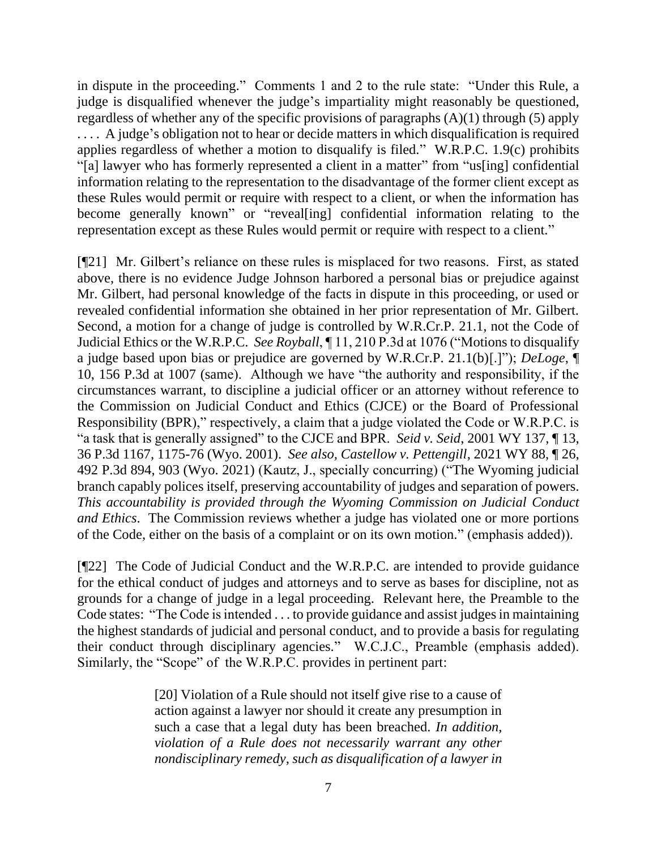in dispute in the proceeding." Comments 1 and 2 to the rule state: "Under this Rule, a judge is disqualified whenever the judge's impartiality might reasonably be questioned, regardless of whether any of the specific provisions of paragraphs (A)(1) through (5) apply .... A judge's obligation not to hear or decide matters in which disqualification is required applies regardless of whether a motion to disqualify is filed." W.R.P.C. 1.9(c) prohibits "[a] lawyer who has formerly represented a client in a matter" from "us[ing] confidential information relating to the representation to the disadvantage of the former client except as these Rules would permit or require with respect to a client, or when the information has become generally known" or "reveal[ing] confidential information relating to the representation except as these Rules would permit or require with respect to a client."

[¶21] Mr. Gilbert's reliance on these rules is misplaced for two reasons. First, as stated above, there is no evidence Judge Johnson harbored a personal bias or prejudice against Mr. Gilbert, had personal knowledge of the facts in dispute in this proceeding, or used or revealed confidential information she obtained in her prior representation of Mr. Gilbert. Second, a motion for a change of judge is controlled by W.R.Cr.P. 21.1, not the Code of Judicial Ethics or the W.R.P.C. *See Royball*, ¶ 11, 210 P.3d at 1076 ("Motions to disqualify a judge based upon bias or prejudice are governed by W.R.Cr.P. 21.1(b)[.]"); *DeLoge*, ¶ 10, 156 P.3d at 1007 (same). Although we have "the authority and responsibility, if the circumstances warrant, to discipline a judicial officer or an attorney without reference to the Commission on Judicial Conduct and Ethics (CJCE) or the Board of Professional Responsibility (BPR)," respectively, a claim that a judge violated the Code or W.R.P.C. is "a task that is generally assigned" to the CJCE and BPR. *Seid v. Seid*, 2001 WY 137, ¶ 13, 36 P.3d 1167, 1175-76 (Wyo. 2001). *See also, Castellow v. Pettengill*, 2021 WY 88, ¶ 26, 492 P.3d 894, 903 (Wyo. 2021) (Kautz, J., specially concurring) ("The Wyoming judicial branch capably polices itself, preserving accountability of judges and separation of powers. *This accountability is provided through the Wyoming Commission on Judicial Conduct and Ethics*. The Commission reviews whether a judge has violated one or more portions of the Code, either on the basis of a complaint or on its own motion." (emphasis added)).

[¶22] The Code of Judicial Conduct and the W.R.P.C. are intended to provide guidance for the ethical conduct of judges and attorneys and to serve as bases for discipline, not as grounds for a change of judge in a legal proceeding. Relevant here, the Preamble to the Code states: "The Code is intended . . . to provide guidance and assist judges in maintaining the highest standards of judicial and personal conduct, and to provide a basis for regulating their conduct through disciplinary agencies." W.C.J.C., Preamble (emphasis added). Similarly, the "Scope" of the W.R.P.C. provides in pertinent part:

> [20] Violation of a Rule should not itself give rise to a cause of action against a lawyer nor should it create any presumption in such a case that a legal duty has been breached. *In addition, violation of a Rule does not necessarily warrant any other nondisciplinary remedy, such as disqualification of a lawyer in*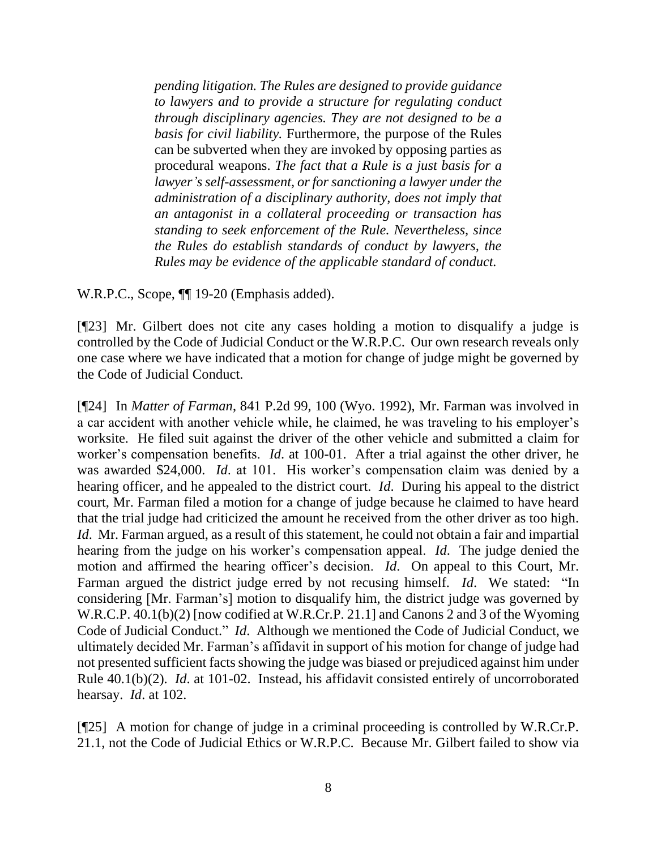*pending litigation. The Rules are designed to provide guidance to lawyers and to provide a structure for regulating conduct through disciplinary agencies. They are not designed to be a basis for civil liability.* Furthermore, the purpose of the Rules can be subverted when they are invoked by opposing parties as procedural weapons. *The fact that a Rule is a just basis for a lawyer's self-assessment, or for sanctioning a lawyer under the administration of a disciplinary authority, does not imply that an antagonist in a collateral proceeding or transaction has standing to seek enforcement of the Rule. Nevertheless, since the Rules do establish standards of conduct by lawyers, the Rules may be evidence of the applicable standard of conduct.*

W.R.P.C., Scope,  $\P$  19-20 (Emphasis added).

[¶23] Mr. Gilbert does not cite any cases holding a motion to disqualify a judge is controlled by the Code of Judicial Conduct or the W.R.P.C. Our own research reveals only one case where we have indicated that a motion for change of judge might be governed by the Code of Judicial Conduct.

[¶24] In *Matter of Farman*, 841 P.2d 99, 100 (Wyo. 1992), Mr. Farman was involved in a car accident with another vehicle while, he claimed, he was traveling to his employer's worksite. He filed suit against the driver of the other vehicle and submitted a claim for worker's compensation benefits. *Id*. at 100-01. After a trial against the other driver, he was awarded \$24,000. *Id*. at 101. His worker's compensation claim was denied by a hearing officer, and he appealed to the district court. *Id*. During his appeal to the district court, Mr. Farman filed a motion for a change of judge because he claimed to have heard that the trial judge had criticized the amount he received from the other driver as too high. *Id*. Mr. Farman argued, as a result of this statement, he could not obtain a fair and impartial hearing from the judge on his worker's compensation appeal. *Id*. The judge denied the motion and affirmed the hearing officer's decision. *Id*. On appeal to this Court, Mr. Farman argued the district judge erred by not recusing himself. *Id*. We stated: "In considering [Mr. Farman's] motion to disqualify him, the district judge was governed by W.R.C.P. 40.1(b)(2) [now codified at W.R.Cr.P. 21.1] and Canons 2 and 3 of the Wyoming Code of Judicial Conduct." *Id*. Although we mentioned the Code of Judicial Conduct, we ultimately decided Mr. Farman's affidavit in support of his motion for change of judge had not presented sufficient facts showing the judge was biased or prejudiced against him under Rule 40.1(b)(2). *Id*. at 101-02. Instead, his affidavit consisted entirely of uncorroborated hearsay. *Id*. at 102.

[¶25] A motion for change of judge in a criminal proceeding is controlled by W.R.Cr.P. 21.1, not the Code of Judicial Ethics or W.R.P.C. Because Mr. Gilbert failed to show via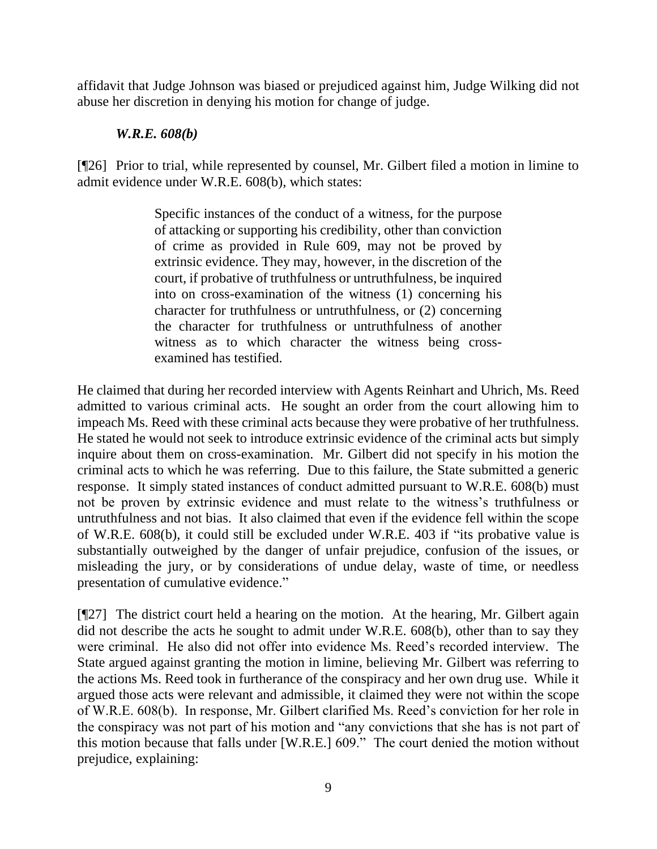affidavit that Judge Johnson was biased or prejudiced against him, Judge Wilking did not abuse her discretion in denying his motion for change of judge.

## *W.R.E. 608(b)*

[¶26] Prior to trial, while represented by counsel, Mr. Gilbert filed a motion in limine to admit evidence under W.R.E. 608(b), which states:

> Specific instances of the conduct of a witness, for the purpose of attacking or supporting his credibility, other than conviction of crime as provided in Rule 609, may not be proved by extrinsic evidence. They may, however, in the discretion of the court, if probative of truthfulness or untruthfulness, be inquired into on cross-examination of the witness (1) concerning his character for truthfulness or untruthfulness, or (2) concerning the character for truthfulness or untruthfulness of another witness as to which character the witness being crossexamined has testified.

He claimed that during her recorded interview with Agents Reinhart and Uhrich, Ms. Reed admitted to various criminal acts. He sought an order from the court allowing him to impeach Ms. Reed with these criminal acts because they were probative of her truthfulness. He stated he would not seek to introduce extrinsic evidence of the criminal acts but simply inquire about them on cross-examination. Mr. Gilbert did not specify in his motion the criminal acts to which he was referring. Due to this failure, the State submitted a generic response. It simply stated instances of conduct admitted pursuant to W.R.E. 608(b) must not be proven by extrinsic evidence and must relate to the witness's truthfulness or untruthfulness and not bias. It also claimed that even if the evidence fell within the scope of W.R.E. 608(b), it could still be excluded under W.R.E. 403 if "its probative value is substantially outweighed by the danger of unfair prejudice, confusion of the issues, or misleading the jury, or by considerations of undue delay, waste of time, or needless presentation of cumulative evidence."

[¶27] The district court held a hearing on the motion. At the hearing, Mr. Gilbert again did not describe the acts he sought to admit under W.R.E. 608(b), other than to say they were criminal. He also did not offer into evidence Ms. Reed's recorded interview. The State argued against granting the motion in limine, believing Mr. Gilbert was referring to the actions Ms. Reed took in furtherance of the conspiracy and her own drug use. While it argued those acts were relevant and admissible, it claimed they were not within the scope of W.R.E. 608(b). In response, Mr. Gilbert clarified Ms. Reed's conviction for her role in the conspiracy was not part of his motion and "any convictions that she has is not part of this motion because that falls under [W.R.E.] 609." The court denied the motion without prejudice, explaining: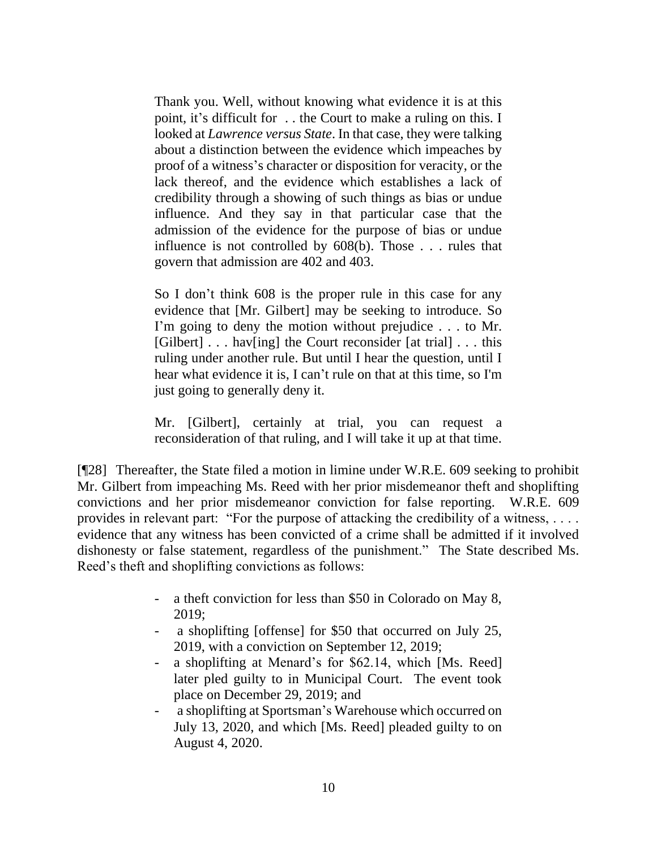Thank you. Well, without knowing what evidence it is at this point, it's difficult for . . the Court to make a ruling on this. I looked at *Lawrence versus State*. In that case, they were talking about a distinction between the evidence which impeaches by proof of a witness's character or disposition for veracity, or the lack thereof, and the evidence which establishes a lack of credibility through a showing of such things as bias or undue influence. And they say in that particular case that the admission of the evidence for the purpose of bias or undue influence is not controlled by 608(b). Those . . . rules that govern that admission are 402 and 403.

So I don't think 608 is the proper rule in this case for any evidence that [Mr. Gilbert] may be seeking to introduce. So I'm going to deny the motion without prejudice . . . to Mr. [Gilbert] . . . hav[ing] the Court reconsider [at trial] . . . this ruling under another rule. But until I hear the question, until I hear what evidence it is, I can't rule on that at this time, so I'm just going to generally deny it.

Mr. [Gilbert], certainly at trial, you can request a reconsideration of that ruling, and I will take it up at that time.

[¶28] Thereafter, the State filed a motion in limine under W.R.E. 609 seeking to prohibit Mr. Gilbert from impeaching Ms. Reed with her prior misdemeanor theft and shoplifting convictions and her prior misdemeanor conviction for false reporting. W.R.E. 609 provides in relevant part: "For the purpose of attacking the credibility of a witness, . . . . evidence that any witness has been convicted of a crime shall be admitted if it involved dishonesty or false statement, regardless of the punishment." The State described Ms. Reed's theft and shoplifting convictions as follows:

- a theft conviction for less than \$50 in Colorado on May 8, 2019;
- a shoplifting [offense] for \$50 that occurred on July 25, 2019, with a conviction on September 12, 2019;
- a shoplifting at Menard's for \$62.14, which [Ms. Reed] later pled guilty to in Municipal Court. The event took place on December 29, 2019; and
- a shoplifting at Sportsman's Warehouse which occurred on July 13, 2020, and which [Ms. Reed] pleaded guilty to on August 4, 2020.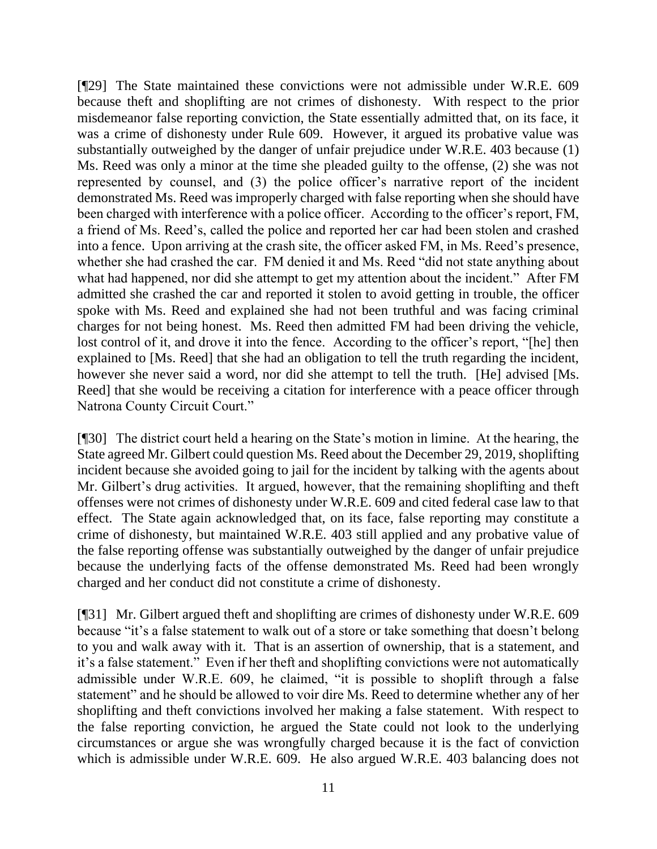[¶29] The State maintained these convictions were not admissible under W.R.E. 609 because theft and shoplifting are not crimes of dishonesty. With respect to the prior misdemeanor false reporting conviction, the State essentially admitted that, on its face, it was a crime of dishonesty under Rule 609. However, it argued its probative value was substantially outweighed by the danger of unfair prejudice under W.R.E. 403 because (1) Ms. Reed was only a minor at the time she pleaded guilty to the offense, (2) she was not represented by counsel, and (3) the police officer's narrative report of the incident demonstrated Ms. Reed was improperly charged with false reporting when she should have been charged with interference with a police officer. According to the officer's report, FM, a friend of Ms. Reed's, called the police and reported her car had been stolen and crashed into a fence. Upon arriving at the crash site, the officer asked FM, in Ms. Reed's presence, whether she had crashed the car. FM denied it and Ms. Reed "did not state anything about what had happened, nor did she attempt to get my attention about the incident." After FM admitted she crashed the car and reported it stolen to avoid getting in trouble, the officer spoke with Ms. Reed and explained she had not been truthful and was facing criminal charges for not being honest. Ms. Reed then admitted FM had been driving the vehicle, lost control of it, and drove it into the fence. According to the officer's report, "[he] then explained to [Ms. Reed] that she had an obligation to tell the truth regarding the incident, however she never said a word, nor did she attempt to tell the truth. [He] advised [Ms. Reed] that she would be receiving a citation for interference with a peace officer through Natrona County Circuit Court."

[¶30] The district court held a hearing on the State's motion in limine. At the hearing, the State agreed Mr. Gilbert could question Ms. Reed about the December 29, 2019, shoplifting incident because she avoided going to jail for the incident by talking with the agents about Mr. Gilbert's drug activities. It argued, however, that the remaining shoplifting and theft offenses were not crimes of dishonesty under W.R.E. 609 and cited federal case law to that effect. The State again acknowledged that, on its face, false reporting may constitute a crime of dishonesty, but maintained W.R.E. 403 still applied and any probative value of the false reporting offense was substantially outweighed by the danger of unfair prejudice because the underlying facts of the offense demonstrated Ms. Reed had been wrongly charged and her conduct did not constitute a crime of dishonesty.

[¶31] Mr. Gilbert argued theft and shoplifting are crimes of dishonesty under W.R.E. 609 because "it's a false statement to walk out of a store or take something that doesn't belong to you and walk away with it. That is an assertion of ownership, that is a statement, and it's a false statement." Even if her theft and shoplifting convictions were not automatically admissible under W.R.E. 609, he claimed, "it is possible to shoplift through a false statement" and he should be allowed to voir dire Ms. Reed to determine whether any of her shoplifting and theft convictions involved her making a false statement. With respect to the false reporting conviction, he argued the State could not look to the underlying circumstances or argue she was wrongfully charged because it is the fact of conviction which is admissible under W.R.E. 609. He also argued W.R.E. 403 balancing does not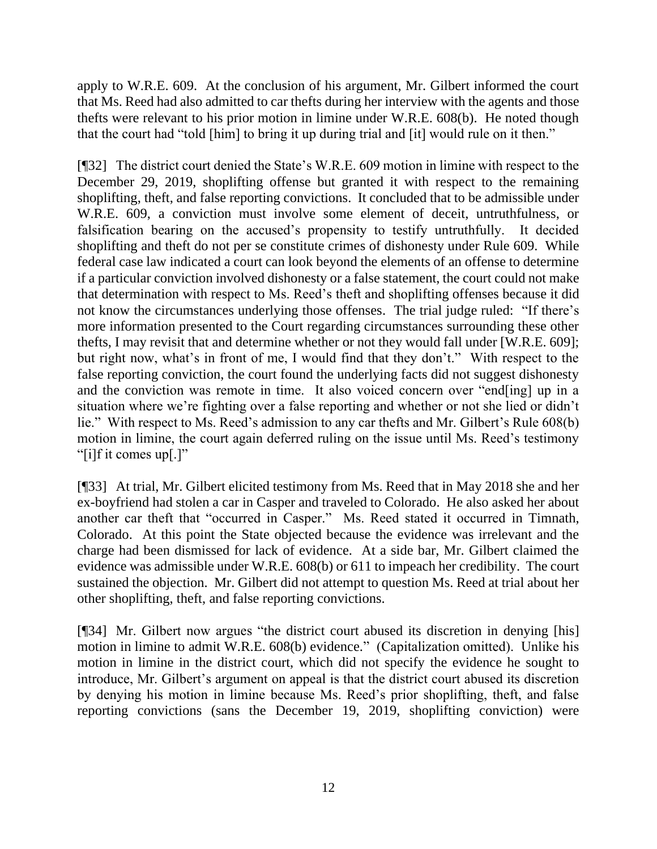apply to W.R.E. 609. At the conclusion of his argument, Mr. Gilbert informed the court that Ms. Reed had also admitted to car thefts during her interview with the agents and those thefts were relevant to his prior motion in limine under W.R.E. 608(b). He noted though that the court had "told [him] to bring it up during trial and [it] would rule on it then."

[¶32] The district court denied the State's W.R.E. 609 motion in limine with respect to the December 29, 2019, shoplifting offense but granted it with respect to the remaining shoplifting, theft, and false reporting convictions. It concluded that to be admissible under W.R.E. 609, a conviction must involve some element of deceit, untruthfulness, or falsification bearing on the accused's propensity to testify untruthfully. It decided shoplifting and theft do not per se constitute crimes of dishonesty under Rule 609. While federal case law indicated a court can look beyond the elements of an offense to determine if a particular conviction involved dishonesty or a false statement, the court could not make that determination with respect to Ms. Reed's theft and shoplifting offenses because it did not know the circumstances underlying those offenses. The trial judge ruled: "If there's more information presented to the Court regarding circumstances surrounding these other thefts, I may revisit that and determine whether or not they would fall under [W.R.E. 609]; but right now, what's in front of me, I would find that they don't." With respect to the false reporting conviction, the court found the underlying facts did not suggest dishonesty and the conviction was remote in time. It also voiced concern over "end[ing] up in a situation where we're fighting over a false reporting and whether or not she lied or didn't lie." With respect to Ms. Reed's admission to any car thefts and Mr. Gilbert's Rule 608(b) motion in limine, the court again deferred ruling on the issue until Ms. Reed's testimony "[i]f it comes up[.]"

[¶33] At trial, Mr. Gilbert elicited testimony from Ms. Reed that in May 2018 she and her ex-boyfriend had stolen a car in Casper and traveled to Colorado. He also asked her about another car theft that "occurred in Casper." Ms. Reed stated it occurred in Timnath, Colorado. At this point the State objected because the evidence was irrelevant and the charge had been dismissed for lack of evidence. At a side bar, Mr. Gilbert claimed the evidence was admissible under W.R.E. 608(b) or 611 to impeach her credibility. The court sustained the objection. Mr. Gilbert did not attempt to question Ms. Reed at trial about her other shoplifting, theft, and false reporting convictions.

[¶34] Mr. Gilbert now argues "the district court abused its discretion in denying [his] motion in limine to admit W.R.E. 608(b) evidence." (Capitalization omitted). Unlike his motion in limine in the district court, which did not specify the evidence he sought to introduce, Mr. Gilbert's argument on appeal is that the district court abused its discretion by denying his motion in limine because Ms. Reed's prior shoplifting, theft, and false reporting convictions (sans the December 19, 2019, shoplifting conviction) were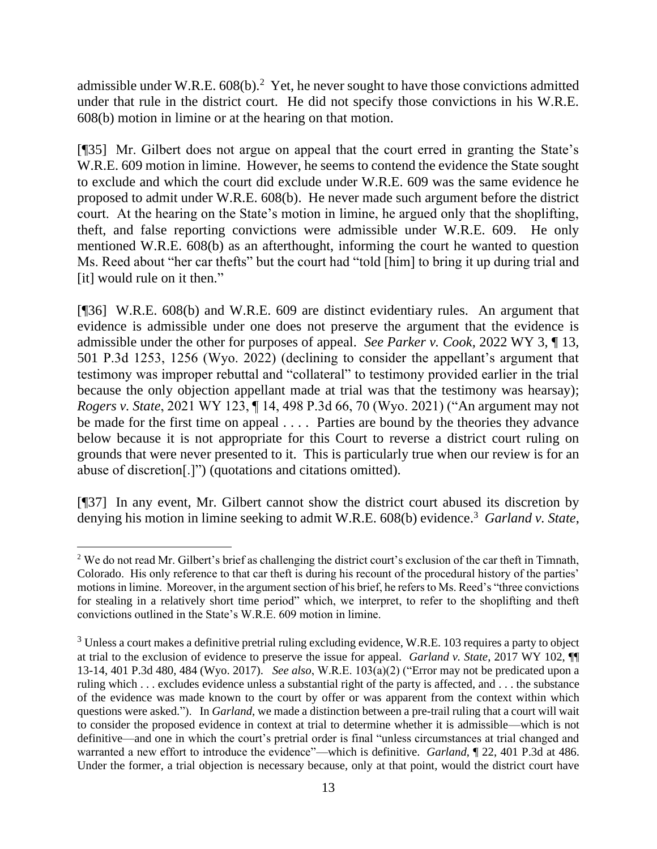admissible under W.R.E.  $608(b)$ .<sup>2</sup> Yet, he never sought to have those convictions admitted under that rule in the district court. He did not specify those convictions in his W.R.E. 608(b) motion in limine or at the hearing on that motion.

[¶35] Mr. Gilbert does not argue on appeal that the court erred in granting the State's W.R.E. 609 motion in limine. However, he seems to contend the evidence the State sought to exclude and which the court did exclude under W.R.E. 609 was the same evidence he proposed to admit under W.R.E. 608(b). He never made such argument before the district court. At the hearing on the State's motion in limine, he argued only that the shoplifting, theft, and false reporting convictions were admissible under W.R.E. 609. He only mentioned W.R.E. 608(b) as an afterthought, informing the court he wanted to question Ms. Reed about "her car thefts" but the court had "told [him] to bring it up during trial and [it] would rule on it then."

[¶36] W.R.E. 608(b) and W.R.E. 609 are distinct evidentiary rules. An argument that evidence is admissible under one does not preserve the argument that the evidence is admissible under the other for purposes of appeal. *See Parker v. Cook,* 2022 WY 3, ¶ 13, 501 P.3d 1253, 1256 (Wyo. 2022) (declining to consider the appellant's argument that testimony was improper rebuttal and "collateral" to testimony provided earlier in the trial because the only objection appellant made at trial was that the testimony was hearsay); *Rogers v. State*, 2021 WY 123, ¶ 14, 498 P.3d 66, 70 (Wyo. 2021) ("An argument may not be made for the first time on appeal . . . . Parties are bound by the theories they advance below because it is not appropriate for this Court to reverse a district court ruling on grounds that were never presented to it. This is particularly true when our review is for an abuse of discretion[.]") (quotations and citations omitted).

[¶37] In any event, Mr. Gilbert cannot show the district court abused its discretion by denying his motion in limine seeking to admit W.R.E. 608(b) evidence. 3 *Garland v. State*,

<sup>&</sup>lt;sup>2</sup> We do not read Mr. Gilbert's brief as challenging the district court's exclusion of the car theft in Timnath, Colorado. His only reference to that car theft is during his recount of the procedural history of the parties' motions in limine. Moreover, in the argument section of his brief, he refers to Ms. Reed's "three convictions for stealing in a relatively short time period" which, we interpret, to refer to the shoplifting and theft convictions outlined in the State's W.R.E. 609 motion in limine.

<sup>&</sup>lt;sup>3</sup> Unless a court makes a definitive pretrial ruling excluding evidence, W.R.E. 103 requires a party to object at trial to the exclusion of evidence to preserve the issue for appeal. *Garland v. State*, 2017 WY 102, ¶¶ 13-14, 401 P.3d 480, 484 (Wyo. 2017). *See also*, W.R.E. 103(a)(2) ("Error may not be predicated upon a ruling which . . . excludes evidence unless a substantial right of the party is affected, and . . . the substance of the evidence was made known to the court by offer or was apparent from the context within which questions were asked."). In *Garland*, we made a distinction between a pre-trail ruling that a court will wait to consider the proposed evidence in context at trial to determine whether it is admissible—which is not definitive—and one in which the court's pretrial order is final "unless circumstances at trial changed and warranted a new effort to introduce the evidence"—which is definitive. *Garland*, ¶ 22, 401 P.3d at 486. Under the former, a trial objection is necessary because, only at that point, would the district court have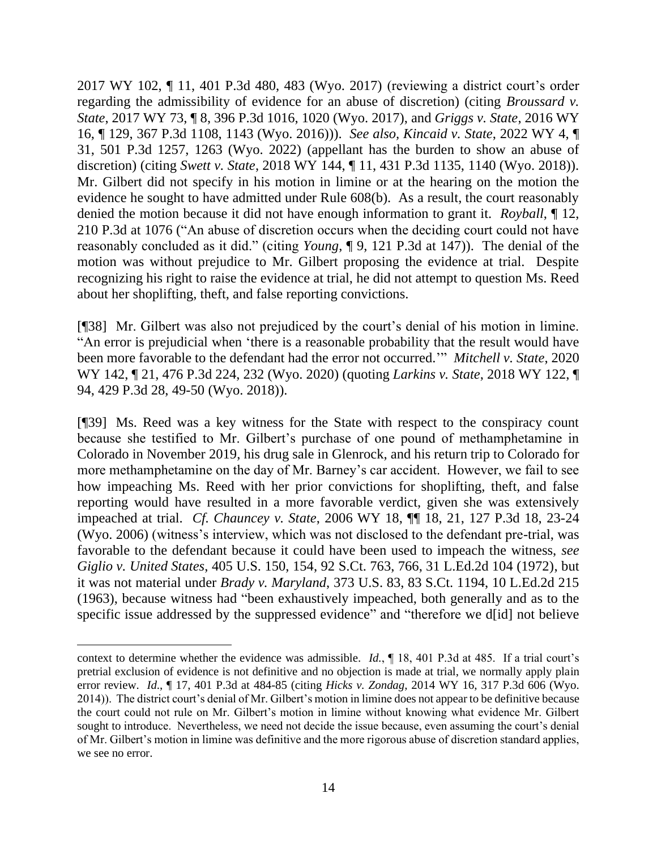2017 WY 102, ¶ 11, 401 P.3d 480, 483 (Wyo. 2017) (reviewing a district court's order regarding the admissibility of evidence for an abuse of discretion) (citing *Broussard v. State*, 2017 WY 73, ¶ 8, 396 P.3d 1016, 1020 (Wyo. 2017), and *Griggs v. State*, 2016 WY 16, ¶ 129, 367 P.3d 1108, 1143 (Wyo. 2016))). *See also, Kincaid v. State*, 2022 WY 4, ¶ 31, 501 P.3d 1257, 1263 (Wyo. 2022) (appellant has the burden to show an abuse of discretion) (citing *Swett v. State*, 2018 WY 144, ¶ 11, 431 P.3d 1135, 1140 (Wyo. 2018)). Mr. Gilbert did not specify in his motion in limine or at the hearing on the motion the evidence he sought to have admitted under Rule 608(b). As a result, the court reasonably denied the motion because it did not have enough information to grant it. *Royball*, ¶ 12, 210 P.3d at 1076 ("An abuse of discretion occurs when the deciding court could not have reasonably concluded as it did." (citing *Young*, ¶ 9, 121 P.3d at 147)). The denial of the motion was without prejudice to Mr. Gilbert proposing the evidence at trial. Despite recognizing his right to raise the evidence at trial, he did not attempt to question Ms. Reed about her shoplifting, theft, and false reporting convictions.

[¶38] Mr. Gilbert was also not prejudiced by the court's denial of his motion in limine. "An error is prejudicial when 'there is a reasonable probability that the result would have been more favorable to the defendant had the error not occurred.'" *Mitchell v. State*, 2020 WY 142, ¶ 21, 476 P.3d 224, 232 (Wyo. 2020) (quoting *Larkins v. State*, 2018 WY 122, ¶ 94, 429 P.3d 28, 49-50 (Wyo. 2018)).

[¶39] Ms. Reed was a key witness for the State with respect to the conspiracy count because she testified to Mr. Gilbert's purchase of one pound of methamphetamine in Colorado in November 2019, his drug sale in Glenrock, and his return trip to Colorado for more methamphetamine on the day of Mr. Barney's car accident. However, we fail to see how impeaching Ms. Reed with her prior convictions for shoplifting, theft, and false reporting would have resulted in a more favorable verdict, given she was extensively impeached at trial. *Cf. Chauncey v. State*, 2006 WY 18, ¶¶ 18, 21, 127 P.3d 18, 23-24 (Wyo. 2006) (witness's interview, which was not disclosed to the defendant pre-trial, was favorable to the defendant because it could have been used to impeach the witness, *see Giglio v. United States*, 405 U.S. 150, 154, 92 S.Ct. 763, 766, 31 L.Ed.2d 104 (1972), but it was not material under *Brady v. Maryland*, 373 U.S. 83, 83 S.Ct. 1194, 10 L.Ed.2d 215 (1963), because witness had "been exhaustively impeached, both generally and as to the specific issue addressed by the suppressed evidence" and "therefore we d[id] not believe

context to determine whether the evidence was admissible. *Id.*, ¶ 18, 401 P.3d at 485. If a trial court's pretrial exclusion of evidence is not definitive and no objection is made at trial, we normally apply plain error review. *Id*., ¶ 17, 401 P.3d at 484-85 (citing *Hicks v. Zondag*, 2014 WY 16, 317 P.3d 606 (Wyo. 2014)). The district court's denial of Mr. Gilbert's motion in limine does not appear to be definitive because the court could not rule on Mr. Gilbert's motion in limine without knowing what evidence Mr. Gilbert sought to introduce. Nevertheless, we need not decide the issue because, even assuming the court's denial of Mr. Gilbert's motion in limine was definitive and the more rigorous abuse of discretion standard applies, we see no error.